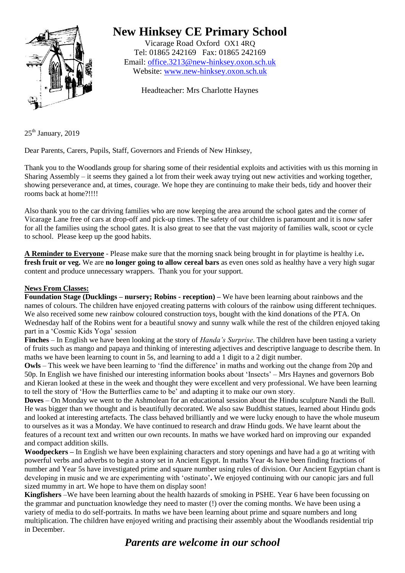

# **New Hinksey CE Primary School**

Vicarage Road Oxford OX1 4RQ Tel: 01865 242169 Fax: 01865 242169 Email: [office.3213@new-hinksey.oxon.sch.uk](mailto:office.3213@new-hinksey.oxon.sch.uk) Website: [www.new-hinksey.oxon.sch.uk](http://www.new-hinksey.oxon.sch.uk/)

Headteacher: Mrs Charlotte Haynes

 $25<sup>th</sup>$  January, 2019

Dear Parents, Carers, Pupils, Staff, Governors and Friends of New Hinksey,

Thank you to the Woodlands group for sharing some of their residential exploits and activities with us this morning in Sharing Assembly – it seems they gained a lot from their week away trying out new activities and working together, showing perseverance and, at times, courage. We hope they are continuing to make their beds, tidy and hoover their rooms back at home?!!!!

Also thank you to the car driving families who are now keeping the area around the school gates and the corner of Vicarage Lane free of cars at drop-off and pick-up times. The safety of our children is paramount and it is now safer for all the families using the school gates. It is also great to see that the vast majority of families walk, scoot or cycle to school. Please keep up the good habits.

**A Reminder to Everyone** - Please make sure that the morning snack being brought in for playtime is healthy i.e**. fresh fruit or veg.** We are **no longer going to allow cereal bars** as even ones sold as healthy have a very high sugar content and produce unnecessary wrappers. Thank you for your support.

#### **News From Classes:**

**Foundation Stage (Ducklings – nursery; Robins - reception) –** We have been learning about rainbows and the names of colours. The children have enjoyed creating patterns with colours of the rainbow using different techniques. We also received some new rainbow coloured construction toys, bought with the kind donations of the PTA. On Wednesday half of the Robins went for a beautiful snowy and sunny walk while the rest of the children enjoyed taking part in a 'Cosmic Kids Yoga' session

**Finches** – In English we have been looking at the story of *Handa's Surprise*. The children have been tasting a variety of fruits such as mango and papaya and thinking of interesting adjectives and descriptive language to describe them. In maths we have been learning to count in 5s, and learning to add a 1 digit to a 2 digit number.

**Owls** – This week we have been learning to 'find the difference' in maths and working out the change from 20p and 50p. In English we have finished our interesting information books about 'Insects' – Mrs Haynes and governors Bob and Kieran looked at these in the week and thought they were excellent and very professional. We have been learning to tell the story of 'How the Butterflies came to be' and adapting it to make our own story.

**Doves** – On Monday we went to the Ashmolean for an educational session about the Hindu sculpture Nandi the Bull. He was bigger than we thought and is beautifully decorated. We also saw Buddhist statues, learned about Hindu gods and looked at interesting artefacts. The class behaved brilliantly and we were lucky enough to have the whole museum to ourselves as it was a Monday. We have continued to research and draw Hindu gods. We have learnt about the features of a recount text and written our own recounts. In maths we have worked hard on improving our expanded and compact addition skills.

**Woodpeckers –** In English we have been explaining characters and story openings and have had a go at writing with powerful verbs and adverbs to begin a story set in Ancient Egypt. In maths Year 4s have been finding fractions of number and Year 5s have investigated prime and square number using rules of division. Our Ancient Egyptian chant is developing in music and we are experimenting with 'ostinato'**.** We enjoyed continuing with our canopic jars and full sized mummy in art. We hope to have them on display soon!

**Kingfishers** –We have been learning about the health hazards of smoking in PSHE. Year 6 have been focussing on the grammar and punctuation knowledge they need to master (!) over the coming months. We have been using a variety of media to do self-portraits. In maths we have been learning about prime and square numbers and long multiplication. The children have enjoyed writing and practising their assembly about the Woodlands residential trip in December.

## *Parents are welcome in our school*